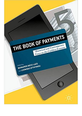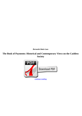*Bernardo Batiz-Lazo*

## **The Book of Payments: Historical and Contemporary Views on the Cashless Society**

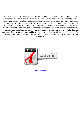This book examines the nature of retail financial transaction infrastructures. Chapters explore a global changeover to a cashless culture and contemplate potential alternatives to cash, cheques and plastic, featuring the perspectives of academics from different disciplines in discussion and industry individuals from six continents. Readers are invited to discover the creativity in payment systems and how it co-evolves with changes in society and organisations through personal, corporate and governmental processes. It includes different theoretical methods to the analysis, re-examining and forecasting adjustments in retail payment systems. Contributions presume a long-term outlook within their exploration of the key financial processes and systems that support a worldwide transition to a cashless overall economy. The volume offers both contemporary and historical accounts that demonstrate the constantly changing function of payment instruments.



[continue reading](http://bit.ly/2Tge8Fv)